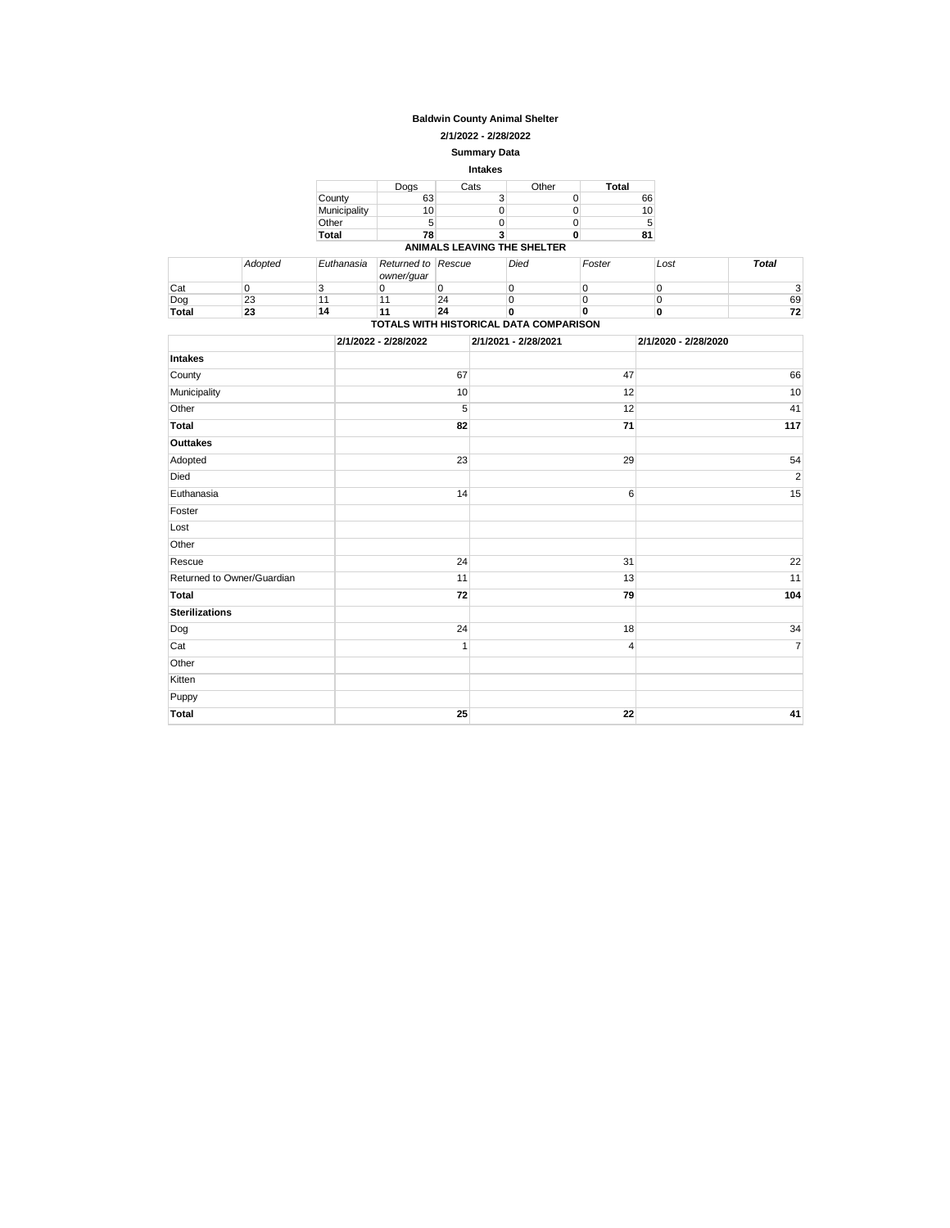### **Baldwin County Animal Shelter**

**2/1/2022 - 2/28/2022**

**Summary Data**

| <b>Intakes</b> |      |                             |       |              |  |  |  |
|----------------|------|-----------------------------|-------|--------------|--|--|--|
|                | Dogs | Cats                        | Other | <b>Total</b> |  |  |  |
| County         | 63   | 3                           |       | 66           |  |  |  |
| Municipality   | 10   |                             |       | 10           |  |  |  |
| Other          | 5    |                             |       | 5            |  |  |  |
| Total          | 78   |                             |       | 81           |  |  |  |
|                |      | ANIMALS LEAVING THE SHELTER |       |              |  |  |  |

|                                        | Adopted | Euthanasia | Returned to Rescue<br>owner/quar |    | Died | Foster | Lost | <b>Total</b> |
|----------------------------------------|---------|------------|----------------------------------|----|------|--------|------|--------------|
| Cat                                    |         |            |                                  |    |      |        |      |              |
| Dog                                    | ົ<br>23 |            |                                  | 24 |      |        |      | 69           |
| <b>Total</b>                           | 23      | 14         | 11                               | 24 |      |        |      | 72           |
| TOTALS WITH HISTORICAL DATA COMPARISON |         |            |                                  |    |      |        |      |              |

|                            | 2/1/2022 - 2/28/2022 | 2/1/2021 - 2/28/2021 | 2/1/2020 - 2/28/2020 |
|----------------------------|----------------------|----------------------|----------------------|
| <b>Intakes</b>             |                      |                      |                      |
| County                     | 67                   | 47                   | 66                   |
| Municipality               | 10                   | 12                   | 10                   |
| Other                      | 5                    | 12                   | 41                   |
| <b>Total</b>               | 82                   | 71                   | 117                  |
| Outtakes                   |                      |                      |                      |
| Adopted                    | 23                   | 29                   | 54                   |
| Died                       |                      |                      | $\overline{2}$       |
| Euthanasia                 | 14                   | 6                    | 15                   |
| Foster                     |                      |                      |                      |
| Lost                       |                      |                      |                      |
| Other                      |                      |                      |                      |
| Rescue                     | 24                   | 31                   | 22                   |
| Returned to Owner/Guardian | 11                   | 13                   | 11                   |
| <b>Total</b>               | 72                   | 79                   | 104                  |
| <b>Sterilizations</b>      |                      |                      |                      |
| Dog                        | 24                   | 18                   | 34                   |
| Cat                        | $\mathbf{1}$         | 4                    | $\overline{7}$       |
| Other                      |                      |                      |                      |
| Kitten                     |                      |                      |                      |
| Puppy                      |                      |                      |                      |
| <b>Total</b>               | 25                   | 22                   | 41                   |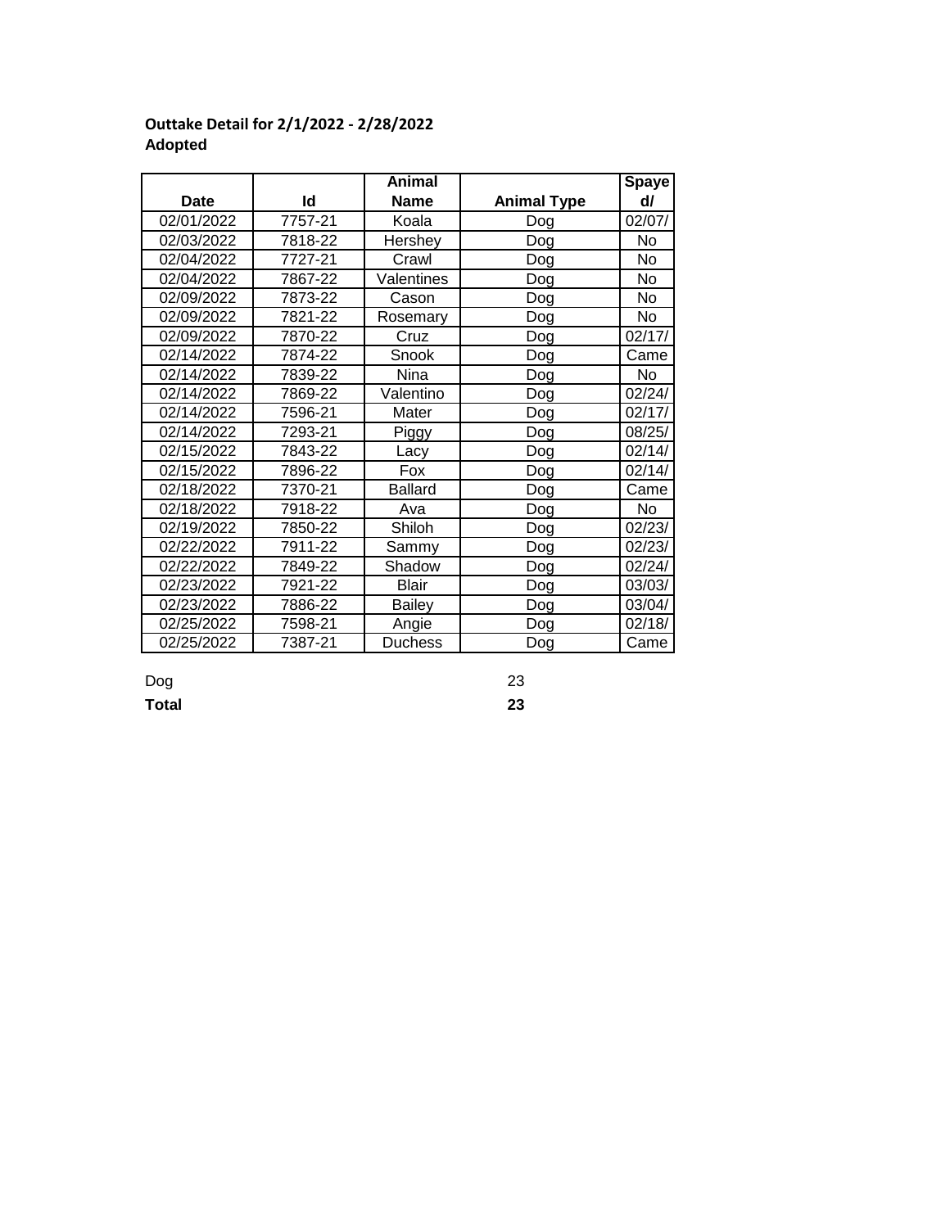|             |         | Animal         |                    | Spaye  |
|-------------|---------|----------------|--------------------|--------|
| <b>Date</b> | ld      | <b>Name</b>    | <b>Animal Type</b> | d/     |
| 02/01/2022  | 7757-21 | Koala          | Dog                | 02/07/ |
| 02/03/2022  | 7818-22 | Hershey        | Dog                | No     |
| 02/04/2022  | 7727-21 | Crawl          | Dog                | No     |
| 02/04/2022  | 7867-22 | Valentines     | Dog                | No     |
| 02/09/2022  | 7873-22 | Cason          | Dog                | No     |
| 02/09/2022  | 7821-22 | Rosemary       | Dog                | No     |
| 02/09/2022  | 7870-22 | Cruz           | Dog                | 02/17/ |
| 02/14/2022  | 7874-22 | Snook          | Dog                | Came   |
| 02/14/2022  | 7839-22 | Nina           | Dog                | No     |
| 02/14/2022  | 7869-22 | Valentino      | Dog                | 02/24/ |
| 02/14/2022  | 7596-21 | Mater          | Dog                | 02/17/ |
| 02/14/2022  | 7293-21 | Piggy          | Dog                | 08/25/ |
| 02/15/2022  | 7843-22 | Lacy           | Dog                | 02/14/ |
| 02/15/2022  | 7896-22 | Fox            | Dog                | 02/14/ |
| 02/18/2022  | 7370-21 | <b>Ballard</b> | Dog                | Came   |
| 02/18/2022  | 7918-22 | Ava            | Dog                | No     |
| 02/19/2022  | 7850-22 | Shiloh         | Dog                | 02/23/ |
| 02/22/2022  | 7911-22 | Sammy          | Dog                | 02/23/ |
| 02/22/2022  | 7849-22 | Shadow         | Dog                | 02/24/ |
| 02/23/2022  | 7921-22 | Blair          | Dog                | 03/03/ |
| 02/23/2022  | 7886-22 | <b>Bailey</b>  | Dog                | 03/04/ |
| 02/25/2022  | 7598-21 | Angie          | Dog                | 02/18/ |
| 02/25/2022  | 7387-21 | <b>Duchess</b> | Dog                | Came   |

# **Outtake Detail for 2/1/2022 - 2/28/2022 Adopted**

Dog 23 **Total 23**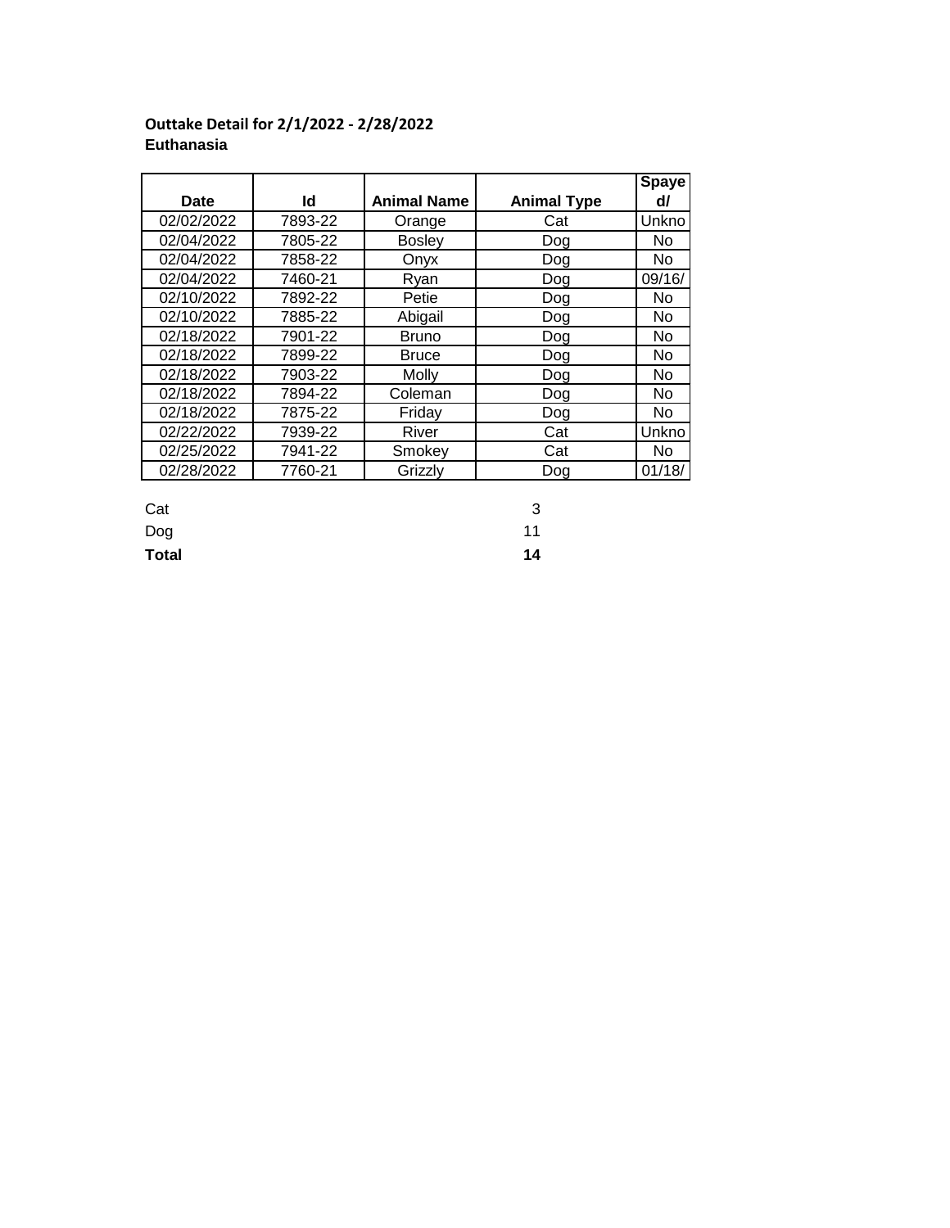|            |         |                    |                    | <b>Spaye</b> |
|------------|---------|--------------------|--------------------|--------------|
| Date       | ld      | <b>Animal Name</b> | <b>Animal Type</b> | d/           |
| 02/02/2022 | 7893-22 | Orange             | Cat                | Unkno        |
| 02/04/2022 | 7805-22 | <b>Bosley</b>      | Dog                | No.          |
| 02/04/2022 | 7858-22 | Onyx               | Dog                | No.          |
| 02/04/2022 | 7460-21 | Ryan               | Dog                | 09/16/       |
| 02/10/2022 | 7892-22 | Petie              | Dog                | No.          |
| 02/10/2022 | 7885-22 | Abigail            | Dog                | No           |
| 02/18/2022 | 7901-22 | <b>Bruno</b>       | Dog                | No.          |
| 02/18/2022 | 7899-22 | <b>Bruce</b>       | Dog                | <b>No</b>    |
| 02/18/2022 | 7903-22 | Molly              | Dog                | No.          |
| 02/18/2022 | 7894-22 | Coleman            | Dog                | No.          |
| 02/18/2022 | 7875-22 | Friday             | Dog                | No           |
| 02/22/2022 | 7939-22 | River              | Cat                | Unkno        |
| 02/25/2022 | 7941-22 | Smokey             | Cat                | No.          |
| 02/28/2022 | 7760-21 | Grizzlv            | Dog                | 01/18/       |

## **Outtake Detail for 2/1/2022 - 2/28/2022 Euthanasia**

Cat 3

Dog 11

**Total 14**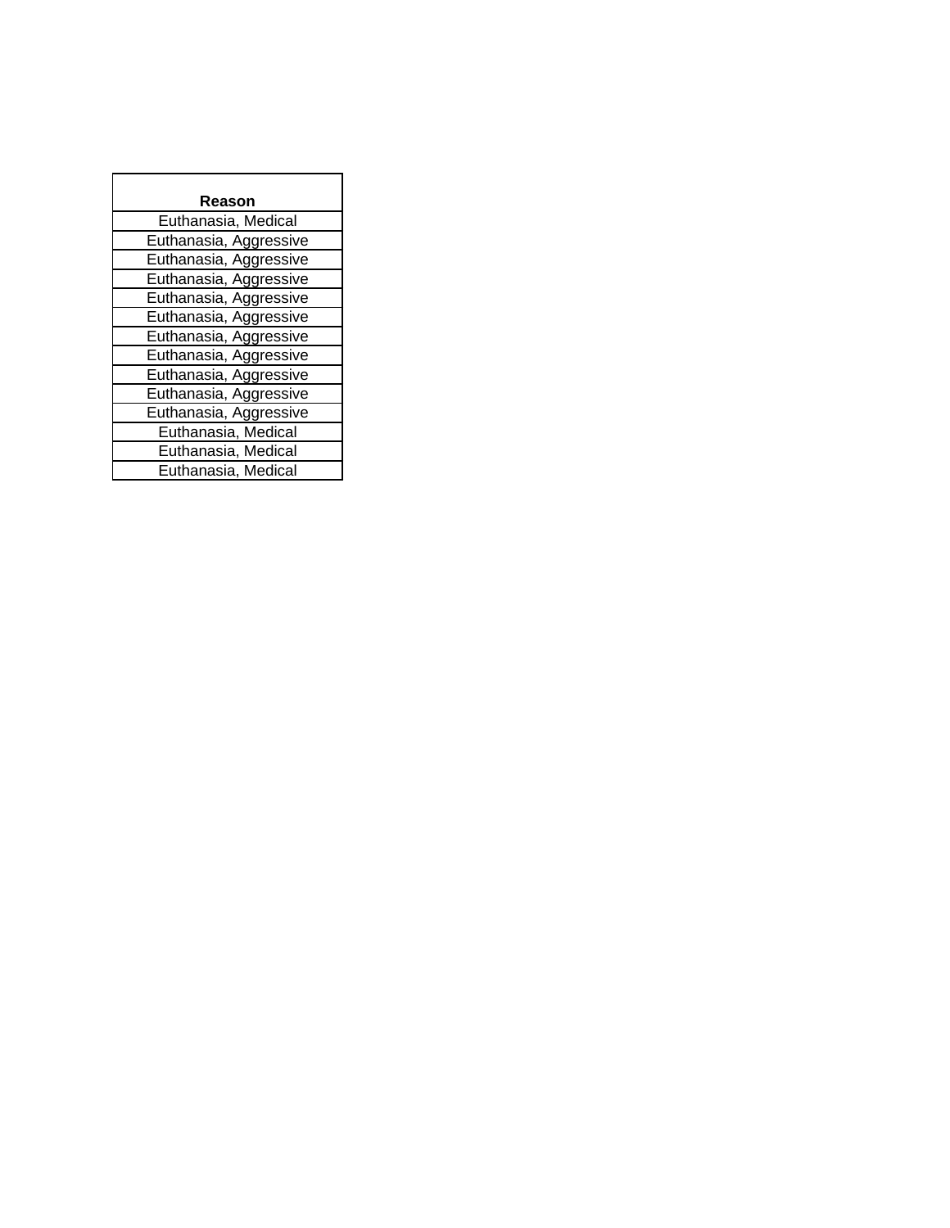| Reason                 |  |  |  |  |  |
|------------------------|--|--|--|--|--|
| Euthanasia, Medical    |  |  |  |  |  |
| Euthanasia, Aggressive |  |  |  |  |  |
| Euthanasia, Aggressive |  |  |  |  |  |
| Euthanasia, Aggressive |  |  |  |  |  |
| Euthanasia, Aggressive |  |  |  |  |  |
| Euthanasia, Aggressive |  |  |  |  |  |
| Euthanasia, Aggressive |  |  |  |  |  |
| Euthanasia, Aggressive |  |  |  |  |  |
| Euthanasia, Aggressive |  |  |  |  |  |
| Euthanasia, Aggressive |  |  |  |  |  |
| Euthanasia, Aggressive |  |  |  |  |  |
| Euthanasia, Medical    |  |  |  |  |  |
| Euthanasia, Medical    |  |  |  |  |  |
| Euthanasia, Medical    |  |  |  |  |  |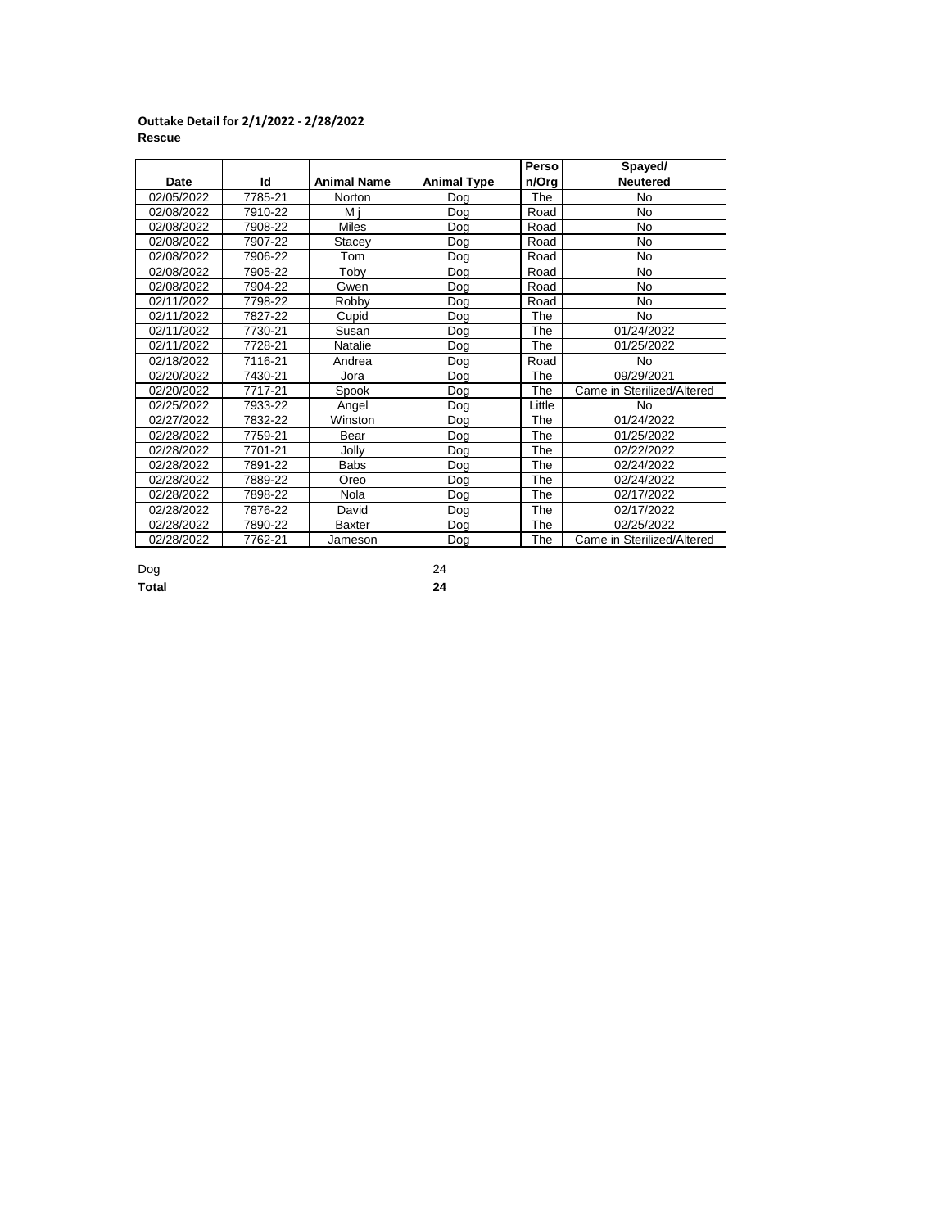### **Outtake Detail for 2/1/2022 - 2/28/2022 Rescue**

|            |         |                    |                    | Perso  | Spayed/                    |
|------------|---------|--------------------|--------------------|--------|----------------------------|
| Date       | ld      | <b>Animal Name</b> | <b>Animal Type</b> | n/Org  | <b>Neutered</b>            |
| 02/05/2022 | 7785-21 | Norton             | Dog                | The    | No                         |
| 02/08/2022 | 7910-22 | Mi                 | Dog                | Road   | No                         |
| 02/08/2022 | 7908-22 | <b>Miles</b>       | Dog                | Road   | <b>No</b>                  |
| 02/08/2022 | 7907-22 | Stacey             | Dog                | Road   | No                         |
| 02/08/2022 | 7906-22 | Tom                | Dog                | Road   | No                         |
| 02/08/2022 | 7905-22 | Toby               | Dog                | Road   | No                         |
| 02/08/2022 | 7904-22 | Gwen               | Dog                | Road   | No                         |
| 02/11/2022 | 7798-22 | Robby              | Dog                | Road   | No                         |
| 02/11/2022 | 7827-22 | Cupid              | Dog                | The    | No.                        |
| 02/11/2022 | 7730-21 | Susan              | Dog                | The    | 01/24/2022                 |
| 02/11/2022 | 7728-21 | Natalie            | Dog                | The    | 01/25/2022                 |
| 02/18/2022 | 7116-21 | Andrea             | Dog                | Road   | No                         |
| 02/20/2022 | 7430-21 | Jora               | Dog                | The    | 09/29/2021                 |
| 02/20/2022 | 7717-21 | Spook              | Dog                | The    | Came in Sterilized/Altered |
| 02/25/2022 | 7933-22 | Angel              | Dog                | Little | No                         |
| 02/27/2022 | 7832-22 | Winston            | Dog                | The    | 01/24/2022                 |
| 02/28/2022 | 7759-21 | Bear               | Dog                | The    | 01/25/2022                 |
| 02/28/2022 | 7701-21 | Jolly              | Dog                | The    | 02/22/2022                 |
| 02/28/2022 | 7891-22 | Babs               | Dog                | The    | 02/24/2022                 |
| 02/28/2022 | 7889-22 | Oreo               | Dog                | The    | 02/24/2022                 |
| 02/28/2022 | 7898-22 | Nola               | Dog                | The    | 02/17/2022                 |
| 02/28/2022 | 7876-22 | David              | Dog                | The    | 02/17/2022                 |
| 02/28/2022 | 7890-22 | <b>Baxter</b>      | Dog                | The    | 02/25/2022                 |
| 02/28/2022 | 7762-21 | Jameson            | Dog                | The    | Came in Sterilized/Altered |

Dog 24 **Total 24**